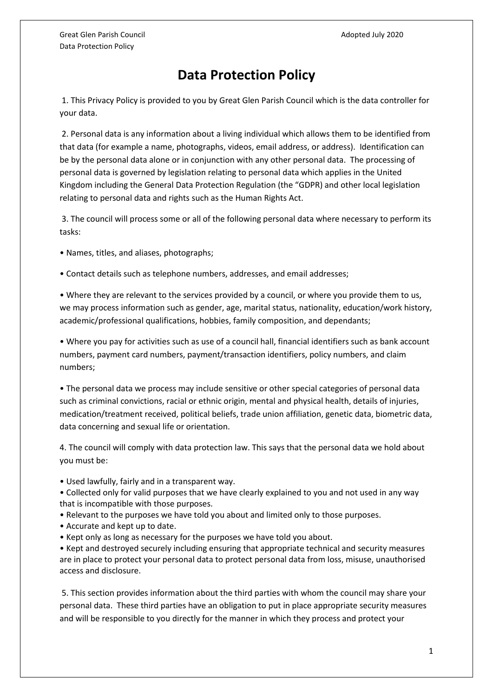## **Data Protection Policy**

1. This Privacy Policy is provided to you by Great Glen Parish Council which is the data controller for your data.

2. Personal data is any information about a living individual which allows them to be identified from that data (for example a name, photographs, videos, email address, or address). Identification can be by the personal data alone or in conjunction with any other personal data. The processing of personal data is governed by legislation relating to personal data which applies in the United Kingdom including the General Data Protection Regulation (the "GDPR) and other local legislation relating to personal data and rights such as the Human Rights Act.

3. The council will process some or all of the following personal data where necessary to perform its tasks:

- Names, titles, and aliases, photographs;
- Contact details such as telephone numbers, addresses, and email addresses;

• Where they are relevant to the services provided by a council, or where you provide them to us, we may process information such as gender, age, marital status, nationality, education/work history, academic/professional qualifications, hobbies, family composition, and dependants;

• Where you pay for activities such as use of a council hall, financial identifiers such as bank account numbers, payment card numbers, payment/transaction identifiers, policy numbers, and claim numbers;

• The personal data we process may include sensitive or other special categories of personal data such as criminal convictions, racial or ethnic origin, mental and physical health, details of injuries, medication/treatment received, political beliefs, trade union affiliation, genetic data, biometric data, data concerning and sexual life or orientation.

4. The council will comply with data protection law. This says that the personal data we hold about you must be:

• Used lawfully, fairly and in a transparent way.

• Collected only for valid purposes that we have clearly explained to you and not used in any way that is incompatible with those purposes.

- Relevant to the purposes we have told you about and limited only to those purposes.
- Accurate and kept up to date.
- Kept only as long as necessary for the purposes we have told you about.

• Kept and destroyed securely including ensuring that appropriate technical and security measures are in place to protect your personal data to protect personal data from loss, misuse, unauthorised access and disclosure.

5. This section provides information about the third parties with whom the council may share your personal data. These third parties have an obligation to put in place appropriate security measures and will be responsible to you directly for the manner in which they process and protect your